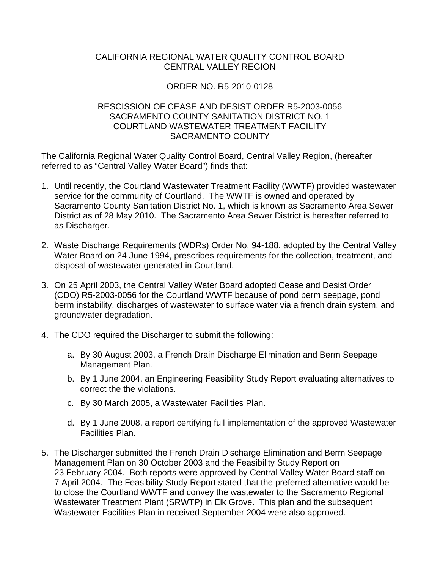## CALIFORNIA REGIONAL WATER QUALITY CONTROL BOARD CENTRAL VALLEY REGION

## ORDER NO. R5-2010-0128

## RESCISSION OF CEASE AND DESIST ORDER R5-2003-0056 SACRAMENTO COUNTY SANITATION DISTRICT NO. 1 COURTLAND WASTEWATER TREATMENT FACILITY SACRAMENTO COUNTY

The California Regional Water Quality Control Board, Central Valley Region, (hereafter referred to as "Central Valley Water Board") finds that:

- 1. Until recently, the Courtland Wastewater Treatment Facility (WWTF) provided wastewater service for the community of Courtland. The WWTF is owned and operated by Sacramento County Sanitation District No. 1, which is known as Sacramento Area Sewer District as of 28 May 2010. The Sacramento Area Sewer District is hereafter referred to as Discharger.
- 2. Waste Discharge Requirements (WDRs) Order No. 94-188, adopted by the Central Valley Water Board on 24 June 1994, prescribes requirements for the collection, treatment, and disposal of wastewater generated in Courtland.
- 3. On 25 April 2003, the Central Valley Water Board adopted Cease and Desist Order (CDO) R5-2003-0056 for the Courtland WWTF because of pond berm seepage, pond berm instability, discharges of wastewater to surface water via a french drain system, and groundwater degradation.
- 4. The CDO required the Discharger to submit the following:
	- a. By 30 August 2003, a French Drain Discharge Elimination and Berm Seepage Management Plan*.*
	- b. By 1 June 2004, an Engineering Feasibility Study Report evaluating alternatives to correct the the violations.
	- c. By 30 March 2005, a Wastewater Facilities Plan.
	- d. By 1 June 2008, a report certifying full implementation of the approved Wastewater Facilities Plan.
- 5. The Discharger submitted the French Drain Discharge Elimination and Berm Seepage Management Plan on 30 October 2003 and the Feasibility Study Report on 23 February 2004. Both reports were approved by Central Valley Water Board staff on 7 April 2004. The Feasibility Study Report stated that the preferred alternative would be to close the Courtland WWTF and convey the wastewater to the Sacramento Regional Wastewater Treatment Plant (SRWTP) in Elk Grove. This plan and the subsequent Wastewater Facilities Plan in received September 2004 were also approved.